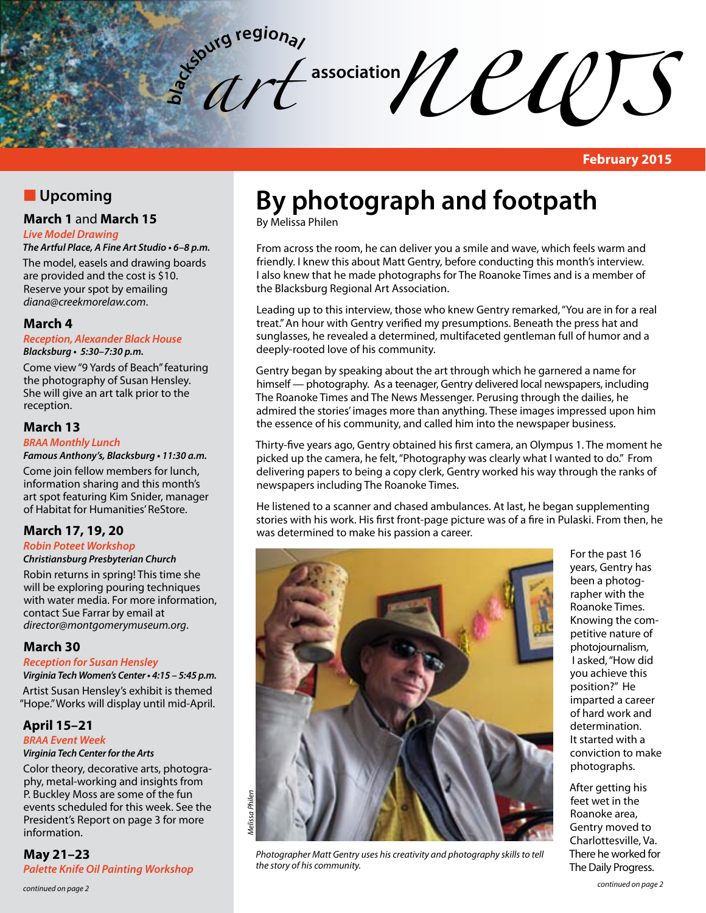association *association newspaper*  $\mathcal{U}(\mathcal{U})$ **b**<sub>d</sub><sub>s</sub> butg regional *art* 

**February 2015**

# **N** Upcoming

## **March 1** and **March 15**

#### *Live Model Drawing*

**The Artful Place, A Fine Art Studio • 6–8 p.m.**

The model, easels and drawing boards are provided and the cost is \$10. Reserve your spot by emailing *diana@creekmorelaw.com*.

## **March 4**

**Reception, Alexander Black House Blacksburg • 5:30–7:30 p.m.**

Come view "9 Yards of Beach" featuring the photography of Susan Hensley. She will give an art talk prior to the reception.

## **March 13**

#### **BRAA** *Monthly Lunch*

**Famous Anthony's, Blacksburg • 11:30 a.m.**

Come join fellow members for lunch, information sharing and this month's art spot featuring Kim Snider, manager of Habitat for Humanities' ReStore.

## **March 17, 19, 20**

## **Robin Poteet Workshop**

#### **Christiansburg Presbyterian Church**

Robin returns in spring! This time she will be exploring pouring techniques with water media. For more information, contact Sue Farrar by email at *director@montgomerymuseum.org*.

## **March 30**

**Reception for Susan Hensley Virginia Tech Women's Center • 4:15 – 5:45 p.m.**

Artist Susan Hensley's exhibit is themed "Hope." Works will display until mid-April.

#### **April 15–21 BRAA Event Week**

## **Virginia Tech Center for the Arts**

Color theory, decorative arts, photography, metal-working and insights from P. Buckley Moss are some of the fun events scheduled for this week. See the President's Report on page 3 for more information.

**May 21–23 Palette Knife Oil Painting Workshop** 

# **By photograph and footpath**

By Melissa Philen

From across the room, he can deliver you a smile and wave, which feels warm and friendly. I knew this about Matt Gentry, before conducting this month's interview. I also knew that he made photographs for The Roanoke Times and is a member of the Blacksburg Regional Art Association.

Leading up to this interview, those who knew Gentry remarked, "You are in for a real treat." An hour with Gentry verified my presumptions. Beneath the press hat and sunglasses, he revealed a determined, multifaceted gentleman full of humor and a deeply-rooted love of his community.

Gentry began by speaking about the art through which he garnered a name for himself — photography. As a teenager, Gentry delivered local newspapers, including The Roanoke Times and The News Messenger. Perusing through the dailies, he admired the stories' images more than anything. These images impressed upon him the essence of his community, and called him into the newspaper business.

Thirty-five years ago, Gentry obtained his first camera, an Olympus 1. The moment he picked up the camera, he felt, "Photography was clearly what I wanted to do." From delivering papers to being a copy clerk, Gentry worked his way through the ranks of newspapers including The Roanoke Times.

He listened to a scanner and chased ambulances. At last, he began supplementing stories with his work. His first front-page picture was of a fire in Pulaski. From then, he was determined to make his passion a career.



*Photographer Matt Gentry uses his creativity and photography skills to tell the story of his community.*

For the past 16 years, Gentry has been a photographer with the Roanoke Times. Knowing the competitive nature of photojournalism, I asked, "How did you achieve this position?" He imparted a career of hard work and determination. It started with a conviction to make photographs.

After getting his feet wet in the Roanoke area, Gentry moved to Charlottesville, Va. There he worked for The Daily Progress.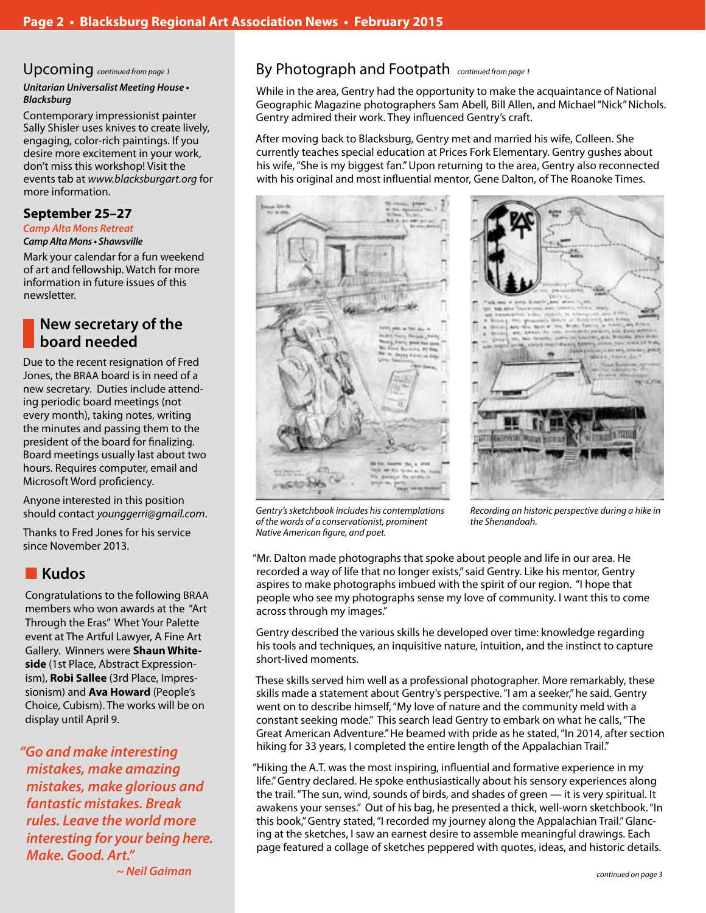# Upcoming *continued from page 1*

**Unitarian Universalist Meeting House • Blacksburg**

Contemporary impressionist painter Sally Shisler uses knives to create lively, engaging, color-rich paintings. If you desire more excitement in your work, don't miss this workshop! Visit the events tab at *www.blacksburgart.org* for more information.

## **September 25–27**

#### **Camp Alta Mons Retreat Camp Alta Mons • Shawsville**

Mark your calendar for a fun weekend of art and fellowship. Watch for more information in future issues of this newsletter.

# **New secretary of the board needed**

Due to the recent resignation of Fred Jones, the BRAA board is in need of a new secretary. Duties include attending periodic board meetings (not every month), taking notes, writing the minutes and passing them to the president of the board for finalizing. Board meetings usually last about two hours. Requires computer, email and Microsoft Word proficiency.

Anyone interested in this position should contact *younggerri@gmail.com*.

Thanks to Fred Jones for his service since November 2013.

# **n** Kudos

Congratulations to the following BRAA members who won awards at the "Art Through the Eras" Whet Your Palette event at The Artful Lawyer, A Fine Art Gallery. Winners were **Shaun Whiteside** (1st Place, Abstract Expressionism), **Robi Sallee** (3rd Place, Impressionism) and **Ava Howard** (People's Choice, Cubism). The works will be on display until April 9.

**"Go and make interesting mistakes, make amazing mistakes, make glorious and fantastic mistakes. Break rules. Leave the world more interesting for your being here. Make. Good. Art." ~ Neil Gaiman**

# By Photograph and Footpath *continued from page 1*

While in the area, Gentry had the opportunity to make the acquaintance of National Geographic Magazine photographers Sam Abell, Bill Allen, and Michael "Nick" Nichols. Gentry admired their work. They influenced Gentry's craft.

After moving back to Blacksburg, Gentry met and married his wife, Colleen. She currently teaches special education at Prices Fork Elementary. Gentry gushes about his wife, "She is my biggest fan." Upon returning to the area, Gentry also reconnected with his original and most influential mentor, Gene Dalton, of The Roanoke Times.





*Gentry's sketchbook includes his contemplations of the words of a conservationist, prominent Native American figure, and poet.*

*Recording an historic perspective during a hike in the Shenandoah.*

"Mr. Dalton made photographs that spoke about people and life in our area. He recorded a way of life that no longer exists," said Gentry. Like his mentor, Gentry aspires to make photographs imbued with the spirit of our region. "I hope that people who see my photographs sense my love of community. I want this to come across through my images."

Gentry described the various skills he developed over time: knowledge regarding his tools and techniques, an inquisitive nature, intuition, and the instinct to capture short-lived moments.

These skills served him well as a professional photographer. More remarkably, these skills made a statement about Gentry's perspective. "I am a seeker," he said. Gentry went on to describe himself, "My love of nature and the community meld with a constant seeking mode." This search lead Gentry to embark on what he calls, "The Great American Adventure." He beamed with pride as he stated, "In 2014, after section hiking for 33 years, I completed the entire length of the Appalachian Trail."

"Hiking the A.T. was the most inspiring, influential and formative experience in my life." Gentry declared. He spoke enthusiastically about his sensory experiences along the trail. "The sun, wind, sounds of birds, and shades of green — it is very spiritual. It awakens your senses." Out of his bag, he presented a thick, well-worn sketchbook. "In this book," Gentry stated, "I recorded my journey along the Appalachian Trail." Glancing at the sketches, I saw an earnest desire to assemble meaningful drawings. Each page featured a collage of sketches peppered with quotes, ideas, and historic details.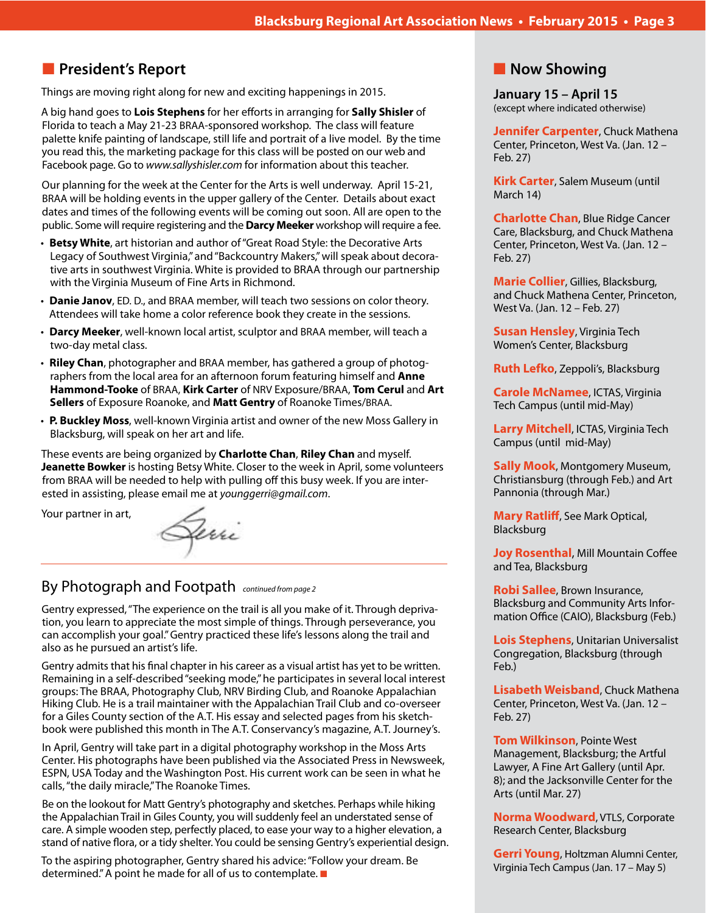# **n** President's Report

Things are moving right along for new and exciting happenings in 2015.

A big hand goes to **Lois Stephens** for her efforts in arranging for **Sally Shisler** of Florida to teach a May 21-23 BRAA-sponsored workshop. The class will feature palette knife painting of landscape, still life and portrait of a live model. By the time you read this, the marketing package for this class will be posted on our web and Facebook page. Go to *www.sallyshisler.com* for information about this teacher.

Our planning for the week at the Center for the Arts is well underway. April 15-21, BRAA will be holding events in the upper gallery of the Center. Details about exact dates and times of the following events will be coming out soon. All are open to the public. Some will require registering and the **Darcy Meeker** workshop will require a fee.

- • **Betsy White**, art historian and author of "Great Road Style: the Decorative Arts Legacy of Southwest Virginia," and "Backcountry Makers," will speak about decorative arts in southwest Virginia. White is provided to BRAA through our partnership with the Virginia Museum of Fine Arts in Richmond.
- • **Danie Janov**, ED. D., and BRAA member, will teach two sessions on color theory. Attendees will take home a color reference book they create in the sessions.
- • **Darcy Meeker**, well-known local artist, sculptor and BRAA member, will teach a two-day metal class.
- **Riley Chan**, photographer and BRAA member, has gathered a group of photographers from the local area for an afternoon forum featuring himself and **Anne Hammond-Tooke** of BRAA, **Kirk Carter** of NRV Exposure/BRAA, **Tom Cerul** and **Art Sellers** of Exposure Roanoke, and **Matt Gentry** of Roanoke Times/BRAA.
- • **P. Buckley Moss**, well-known Virginia artist and owner of the new Moss Gallery in Blacksburg, will speak on her art and life.

These events are being organized by **Charlotte Chan**, **Riley Chan** and myself. **Jeanette Bowker** is hosting Betsy White. Closer to the week in April, some volunteers from BRAA will be needed to help with pulling off this busy week. If you are interested in assisting, please email me at *younggerri@gmail.com*.

Your partner in art,

Gerri

# By Photograph and Footpath *continued from page 2*

Gentry expressed, "The experience on the trail is all you make of it. Through deprivation, you learn to appreciate the most simple of things. Through perseverance, you can accomplish your goal." Gentry practiced these life's lessons along the trail and also as he pursued an artist's life.

Gentry admits that his final chapter in his career as a visual artist has yet to be written. Remaining in a self-described "seeking mode," he participates in several local interest groups: The BRAA, Photography Club, NRV Birding Club, and Roanoke Appalachian Hiking Club. He is a trail maintainer with the Appalachian Trail Club and co-overseer for a Giles County section of the A.T. His essay and selected pages from his sketchbook were published this month in The A.T. Conservancy's magazine, A.T. Journey's.

In April, Gentry will take part in a digital photography workshop in the Moss Arts Center. His photographs have been published via the Associated Press in Newsweek, ESPN, USA Today and the Washington Post. His current work can be seen in what he calls, "the daily miracle," The Roanoke Times.

Be on the lookout for Matt Gentry's photography and sketches. Perhaps while hiking the Appalachian Trail in Giles County, you will suddenly feel an understated sense of care. A simple wooden step, perfectly placed, to ease your way to a higher elevation, a stand of native flora, or a tidy shelter. You could be sensing Gentry's experiential design.

To the aspiring photographer, Gentry shared his advice: "Follow your dream. Be determined." A point he made for all of us to contemplate.  $\blacksquare$ 

# **Now Showing**

**January 15 – April 15** (except where indicated otherwise)

**Jennifer Carpenter**, Chuck Mathena Center, Princeton, West Va. (Jan. 12 – Feb. 27)

**Kirk Carter**, Salem Museum (until March 14)

**Charlotte Chan**, Blue Ridge Cancer Care, Blacksburg, and Chuck Mathena Center, Princeton, West Va. (Jan. 12 – Feb. 27)

**Marie Collier**, Gillies, Blacksburg, and Chuck Mathena Center, Princeton, West Va. (Jan. 12 – Feb. 27)

**Susan Hensley**, Virginia Tech Women's Center, Blacksburg

**Ruth Lefko**, Zeppoli's, Blacksburg

**Carole McNamee**, ICTAS, Virginia Tech Campus (until mid-May)

**Larry Mitchell**, ICTAS, Virginia Tech Campus (until mid-May)

**Sally Mook**, Montgomery Museum, Christiansburg (through Feb.) and Art Pannonia (through Mar.)

**Mary Ratliff**, See Mark Optical, Blacksburg

**Joy Rosenthal**, Mill Mountain Coffee and Tea, Blacksburg

**Robi Sallee**, Brown Insurance, Blacksburg and Community Arts Information Office (CAIO), Blacksburg (Feb.)

**Lois Stephens**, Unitarian Universalist Congregation, Blacksburg (through Feb.)

**Lisabeth Weisband**, Chuck Mathena Center, Princeton, West Va. (Jan. 12 – Feb. 27)

**Tom Wilkinson**, Pointe West Management, Blacksburg; the Artful Lawyer, A Fine Art Gallery (until Apr. 8); and the Jacksonville Center for the Arts (until Mar. 27)

**Norma Woodward**, VTLS, Corporate Research Center, Blacksburg

**Gerri Young**, Holtzman Alumni Center, Virginia Tech Campus (Jan. 17 – May 5)